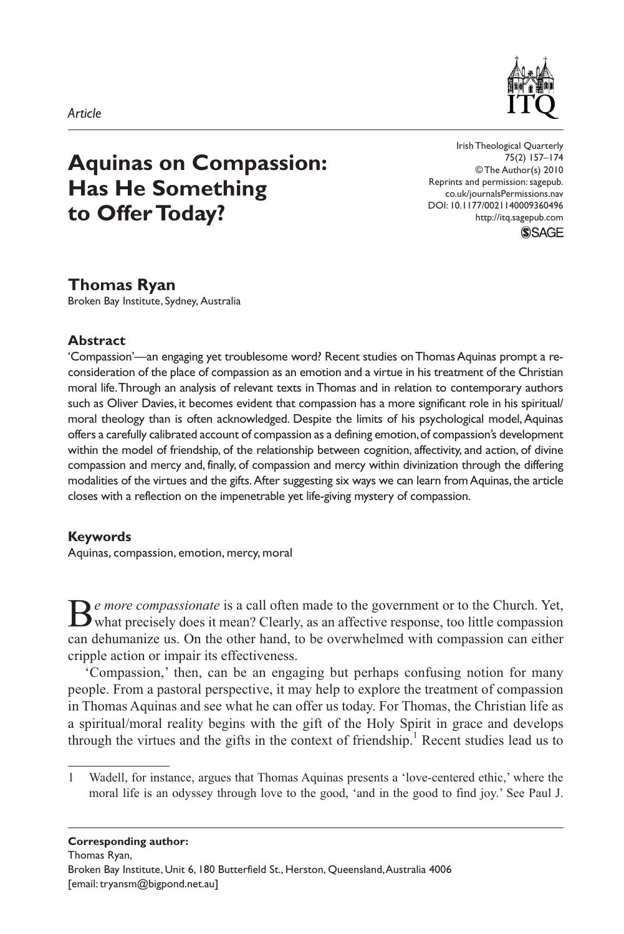

# **Aquinas on Compassion: Has He Something to Offer Today?**

Irish Theological Quarterly 75(2) 157–174 © The Author(s) 2010 Reprints and permission: sagepub. co.uk/journalsPermissions.nav DOI: 10.1177/0021140009360496 http://itq.sagepub.com**SSAGE** 

# **Thomas Ryan**

Broken Bay Institute, Sydney, Australia

#### **Abstract**

'Compassion'—an engaging yet troublesome word? Recent studies on Thomas Aquinas prompt a reconsideration of the place of compassion as an emotion and a virtue in his treatment of the Christian moral life. Through an analysis of relevant texts in Thomas and in relation to contemporary authors such as Oliver Davies, it becomes evident that compassion has a more significant role in his spiritual/ moral theology than is often acknowledged. Despite the limits of his psychological model, Aquinas offers a carefully calibrated account of compassion as a defining emotion, of compassion's development within the model of friendship, of the relationship between cognition, affectivity, and action, of divine compassion and mercy and, finally, of compassion and mercy within divinization through the differing modalities of the virtues and the gifts. After suggesting six ways we can learn from Aquinas, the article closes with a reflection on the impenetrable yet life-giving mystery of compassion.

#### **Keywords**

Aquinas, compassion, emotion, mercy, moral

**B**e more compassionate is a call often made to the government or to the Church. Yet, what precisely does it mean? Clearly, as an affective response, too little compassion can dehumanize us. On the other hand, to be overwhelmed with compassion can either cripple action or impair its effectiveness.

'Compassion,' then, can be an engaging but perhaps confusing notion for many people. From a pastoral perspective, it may help to explore the treatment of compassion in Thomas Aquinas and see what he can offer us today. For Thomas, the Christian life as a spiritual/moral reality begins with the gift of the Holy Spirit in grace and develops through the virtues and the gifts in the context of friendship.<sup>1</sup> Recent studies lead us to

<sup>1</sup> Wadell, for instance, argues that Thomas Aquinas presents a 'love-centered ethic,' where the moral life is an odyssey through love to the good, 'and in the good to find joy.' See Paul J.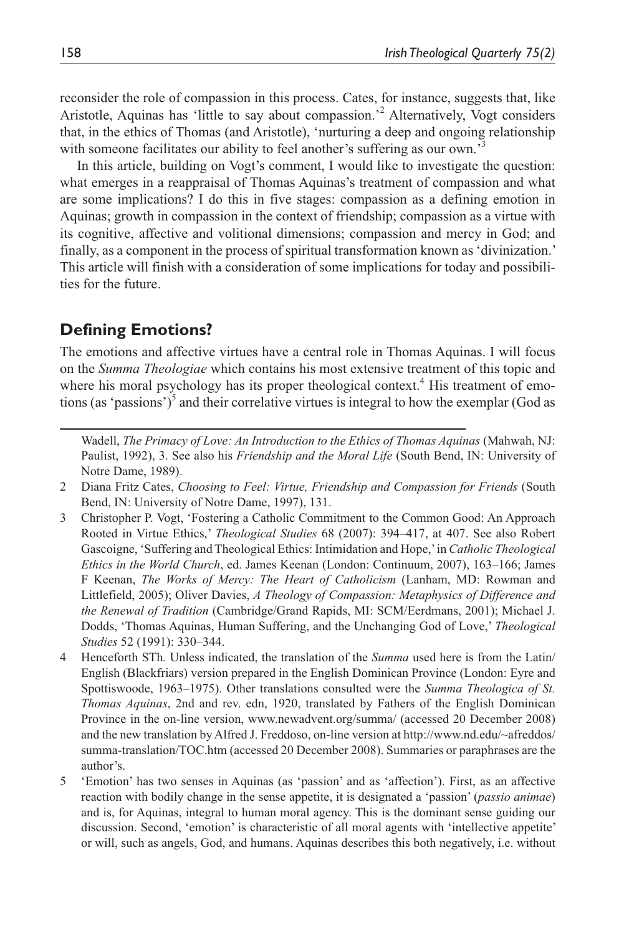reconsider the role of compassion in this process. Cates, for instance, suggests that, like Aristotle, Aquinas has 'little to say about compassion.<sup>22</sup> Alternatively, Vogt considers that, in the ethics of Thomas (and Aristotle), 'nurturing a deep and ongoing relationship with someone facilitates our ability to feel another's suffering as our own.<sup>3</sup>

In this article, building on Vogt's comment, I would like to investigate the question: what emerges in a reappraisal of Thomas Aquinas's treatment of compassion and what are some implications? I do this in five stages: compassion as a defining emotion in Aquinas; growth in compassion in the context of friendship; compassion as a virtue with its cognitive, affective and volitional dimensions; compassion and mercy in God; and finally, as a component in the process of spiritual transformation known as 'divinization.' This article will finish with a consideration of some implications for today and possibilities for the future.

# **Defining Emotions?**

The emotions and affective virtues have a central role in Thomas Aquinas. I will focus on the *Summa Theologiae* which contains his most extensive treatment of this topic and where his moral psychology has its proper theological context.<sup>4</sup> His treatment of emotions (as 'passions')<sup>5</sup> and their correlative virtues is integral to how the exemplar (God as

Wadell, *The Primacy of Love: An Introduction to the Ethics of Thomas Aquinas* (Mahwah, NJ: Paulist, 1992), 3. See also his *Friendship and the Moral Life* (South Bend, IN: University of Notre Dame, 1989).

- 2 Diana Fritz Cates, *Choosing to Feel: Virtue, Friendship and Compassion for Friends* (South Bend, IN: University of Notre Dame, 1997), 131.
- 3 Christopher P. Vogt, 'Fostering a Catholic Commitment to the Common Good: An Approach Rooted in Virtue Ethics,' *Theological Studies* 68 (2007): 394–417, at 407. See also Robert Gascoigne, 'Suffering and Theological Ethics: Intimidation and Hope,' in *Catholic Theological Ethics in the World Church*, ed. James Keenan (London: Continuum, 2007), 163–166; James F Keenan, *The Works of Mercy: The Heart of Catholicism* (Lanham, MD: Rowman and Littlefield, 2005); Oliver Davies, *A Theology of Compassion: Metaphysics of Difference and the Renewal of Tradition* (Cambridge/Grand Rapids, MI: SCM/Eerdmans, 2001); Michael J. Dodds, 'Thomas Aquinas, Human Suffering, and the Unchanging God of Love,' *Theological Studies* 52 (1991): 330–344.
- 4 Henceforth STh*.* Unless indicated, the translation of the *Summa* used here is from the Latin/ English (Blackfriars) version prepared in the English Dominican Province (London: Eyre and Spottiswoode, 1963–1975). Other translations consulted were the *Summa Theologica of St. Thomas Aquinas*, 2nd and rev. edn, 1920, translated by Fathers of the English Dominican Province in the on-line version, www.newadvent.org/summa/ (accessed 20 December 2008) and the new translation by Alfred J. Freddoso, on-line version at http://www.nd.edu/~afreddos/ summa-translation/TOC.htm (accessed 20 December 2008). Summaries or paraphrases are the author's.
- 5 'Emotion' has two senses in Aquinas (as 'passion' and as 'affection'). First, as an affective reaction with bodily change in the sense appetite, it is designated a 'passion' (*passio animae*) and is, for Aquinas, integral to human moral agency. This is the dominant sense guiding our discussion. Second, 'emotion' is characteristic of all moral agents with 'intellective appetite' or will, such as angels, God, and humans. Aquinas describes this both negatively, i.e. without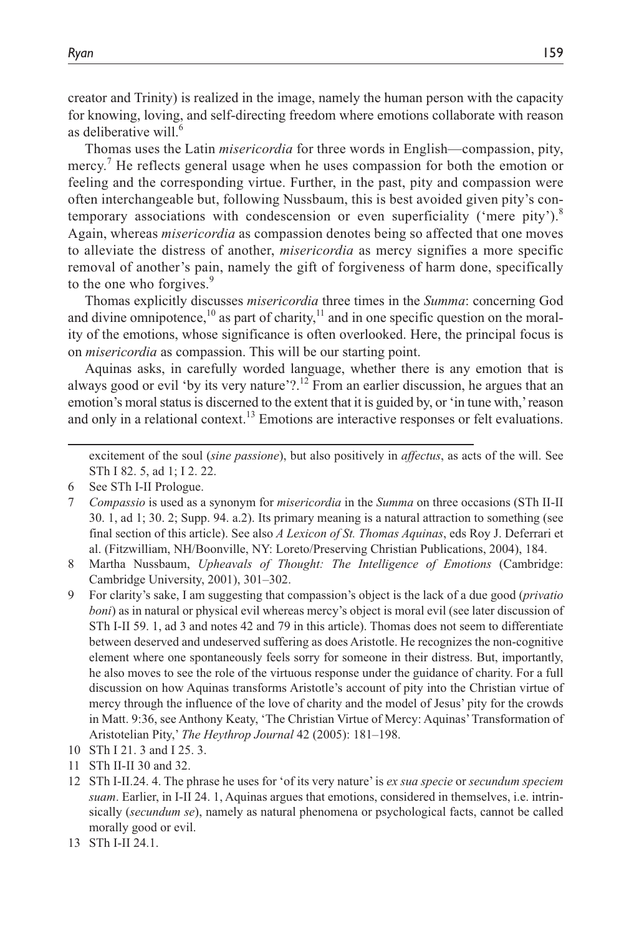creator and Trinity) is realized in the image, namely the human person with the capacity for knowing, loving, and self-directing freedom where emotions collaborate with reason as deliberative will  $^6$ 

Thomas uses the Latin *misericordia* for three words in English—compassion, pity, mercy.<sup>7</sup> He reflects general usage when he uses compassion for both the emotion or feeling and the corresponding virtue. Further, in the past, pity and compassion were often interchangeable but, following Nussbaum, this is best avoided given pity's contemporary associations with condescension or even superficiality ('mere pity').<sup>8</sup> Again, whereas *misericordia* as compassion denotes being so affected that one moves to alleviate the distress of another, *misericordia* as mercy signifies a more specific removal of another's pain, namely the gift of forgiveness of harm done, specifically to the one who forgives.<sup>9</sup>

Thomas explicitly discusses *misericordia* three times in the *Summa*: concerning God and divine omnipotence, $^{10}$  as part of charity, $^{11}$  and in one specific question on the morality of the emotions, whose significance is often overlooked. Here, the principal focus is on *misericordia* as compassion. This will be our starting point.

Aquinas asks, in carefully worded language, whether there is any emotion that is always good or evil 'by its very nature'?.12 From an earlier discussion, he argues that an emotion's moral status is discerned to the extent that it is guided by, or 'in tune with,' reason and only in a relational context.<sup>13</sup> Emotions are interactive responses or felt evaluations.

excitement of the soul (*sine passione*), but also positively in *affectus*, as acts of the will. See STh I 82. 5, ad 1; I 2. 22.

- 6 See STh I-II Prologue.
- 7 *Compassio* is used as a synonym for *misericordia* in the *Summa* on three occasions (STh II-II 30. 1, ad 1; 30. 2; Supp. 94. a.2). Its primary meaning is a natural attraction to something (see final section of this article). See also *A Lexicon of St. Thomas Aquinas*, eds Roy J. Deferrari et al. (Fitzwilliam, NH/Boonville, NY: Loreto/Preserving Christian Publications, 2004), 184.
- 8 Martha Nussbaum, *Upheavals of Thought: The Intelligence of Emotions* (Cambridge: Cambridge University, 2001), 301–302.
- 9 For clarity's sake, I am suggesting that compassion's object is the lack of a due good (*privatio boni*) as in natural or physical evil whereas mercy's object is moral evil (see later discussion of STh I-II 59. 1, ad 3 and notes 42 and 79 in this article). Thomas does not seem to differentiate between deserved and undeserved suffering as does Aristotle. He recognizes the non-cognitive element where one spontaneously feels sorry for someone in their distress. But, importantly, he also moves to see the role of the virtuous response under the guidance of charity. For a full discussion on how Aquinas transforms Aristotle's account of pity into the Christian virtue of mercy through the influence of the love of charity and the model of Jesus' pity for the crowds in Matt. 9:36, see Anthony Keaty, 'The Christian Virtue of Mercy: Aquinas' Transformation of Aristotelian Pity,' *The Heythrop Journal* 42 (2005): 181–198.
- 10 STh I 21. 3 and I 25. 3.
- 11 STh II-II 30 and 32.
- 12 STh I-II.24. 4. The phrase he uses for 'of its very nature' is *ex sua specie* or *secundum speciem suam*. Earlier, in I-II 24. 1, Aquinas argues that emotions, considered in themselves, i.e. intrinsically (*secundum se*), namely as natural phenomena or psychological facts, cannot be called morally good or evil.
- 13 STh I-II 24.1.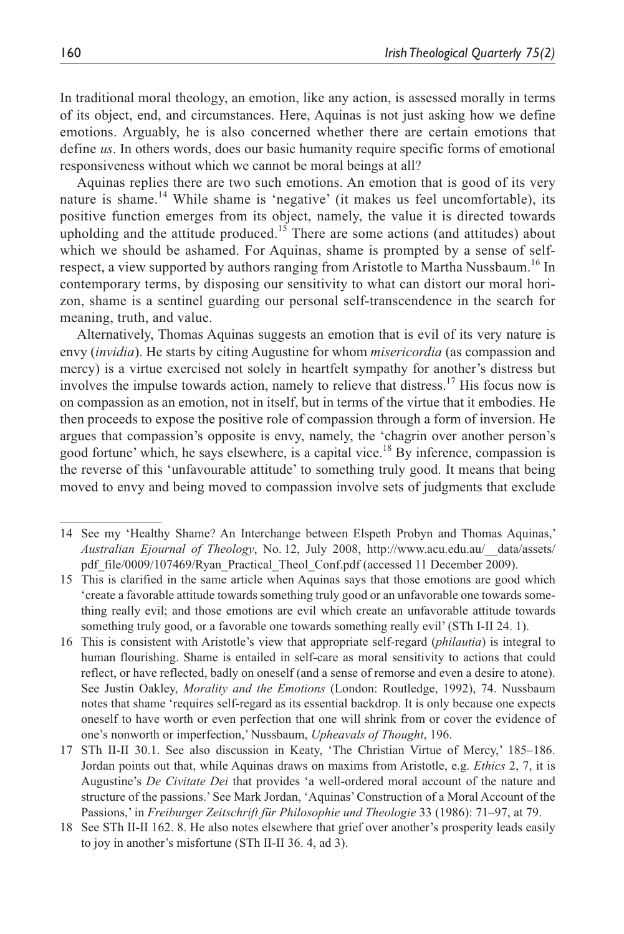In traditional moral theology, an emotion, like any action, is assessed morally in terms of its object, end, and circumstances. Here, Aquinas is not just asking how we define emotions. Arguably, he is also concerned whether there are certain emotions that define *us*. In others words, does our basic humanity require specific forms of emotional responsiveness without which we cannot be moral beings at all?

Aquinas replies there are two such emotions. An emotion that is good of its very nature is shame.<sup>14</sup> While shame is 'negative' (it makes us feel uncomfortable), its positive function emerges from its object, namely, the value it is directed towards upholding and the attitude produced.<sup>15</sup> There are some actions (and attitudes) about which we should be ashamed. For Aquinas, shame is prompted by a sense of selfrespect, a view supported by authors ranging from Aristotle to Martha Nussbaum.<sup>16</sup> In contemporary terms, by disposing our sensitivity to what can distort our moral horizon, shame is a sentinel guarding our personal self-transcendence in the search for meaning, truth, and value.

Alternatively, Thomas Aquinas suggests an emotion that is evil of its very nature is envy (*invidia*). He starts by citing Augustine for whom *misericordia* (as compassion and mercy) is a virtue exercised not solely in heartfelt sympathy for another's distress but involves the impulse towards action, namely to relieve that distress.<sup>17</sup> His focus now is on compassion as an emotion, not in itself, but in terms of the virtue that it embodies. He then proceeds to expose the positive role of compassion through a form of inversion. He argues that compassion's opposite is envy, namely, the 'chagrin over another person's good fortune' which, he says elsewhere, is a capital vice.<sup>18</sup> By inference, compassion is the reverse of this 'unfavourable attitude' to something truly good. It means that being moved to envy and being moved to compassion involve sets of judgments that exclude

- 15 This is clarified in the same article when Aquinas says that those emotions are good which 'create a favorable attitude towards something truly good or an unfavorable one towards something really evil; and those emotions are evil which create an unfavorable attitude towards something truly good, or a favorable one towards something really evil' (STh I-II 24. 1).
- 16 This is consistent with Aristotle's view that appropriate self-regard (*philautia*) is integral to human flourishing. Shame is entailed in self-care as moral sensitivity to actions that could reflect, or have reflected, badly on oneself (and a sense of remorse and even a desire to atone). See Justin Oakley, *Morality and the Emotions* (London: Routledge, 1992), 74. Nussbaum notes that shame 'requires self-regard as its essential backdrop. It is only because one expects oneself to have worth or even perfection that one will shrink from or cover the evidence of one's nonworth or imperfection,' Nussbaum, *Upheavals of Thought*, 196.
- 17 STh II-II 30.1. See also discussion in Keaty, 'The Christian Virtue of Mercy,' 185–186. Jordan points out that, while Aquinas draws on maxims from Aristotle, e.g. *Ethics* 2, 7, it is Augustine's *De Civitate Dei* that provides 'a well-ordered moral account of the nature and structure of the passions.' See Mark Jordan, 'Aquinas' Construction of a Moral Account of the Passions,' in *Freiburger Zeitschrift für Philosophie und Theologie* 33 (1986): 71–97, at 79.
- 18 See STh II-II 162. 8. He also notes elsewhere that grief over another's prosperity leads easily to joy in another's misfortune (STh II-II 36. 4, ad 3).

<sup>14</sup> See my 'Healthy Shame? An Interchange between Elspeth Probyn and Thomas Aquinas,' *Australian Ejournal of Theology*, No. 12, July 2008, http://www.acu.edu.au/\_\_data/assets/ pdf\_file/0009/107469/Ryan\_Practical\_Theol\_Conf.pdf (accessed 11 December 2009).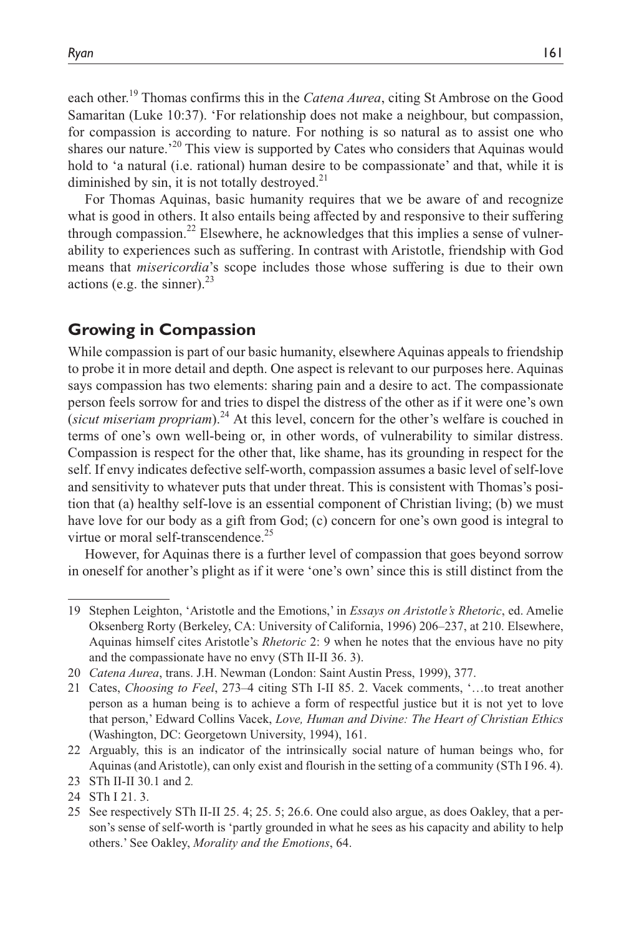each other.19 Thomas confirms this in the *Catena Aurea*, citing St Ambrose on the Good Samaritan (Luke 10:37). 'For relationship does not make a neighbour, but compassion, for compassion is according to nature. For nothing is so natural as to assist one who shares our nature.'<sup>20</sup> This view is supported by Cates who considers that Aquinas would hold to 'a natural (i.e. rational) human desire to be compassionate' and that, while it is diminished by sin, it is not totally destroyed. $21$ 

For Thomas Aquinas, basic humanity requires that we be aware of and recognize what is good in others. It also entails being affected by and responsive to their suffering through compassion.<sup>22</sup> Elsewhere, he acknowledges that this implies a sense of vulnerability to experiences such as suffering. In contrast with Aristotle, friendship with God means that *misericordia*'s scope includes those whose suffering is due to their own actions (e.g. the sinner).  $2<sup>3</sup>$ 

# **Growing in Compassion**

While compassion is part of our basic humanity, elsewhere Aquinas appeals to friendship to probe it in more detail and depth. One aspect is relevant to our purposes here. Aquinas says compassion has two elements: sharing pain and a desire to act. The compassionate person feels sorrow for and tries to dispel the distress of the other as if it were one's own (*sicut miseriam propriam*).<sup>24</sup> At this level, concern for the other's welfare is couched in terms of one's own well-being or, in other words, of vulnerability to similar distress. Compassion is respect for the other that, like shame, has its grounding in respect for the self. If envy indicates defective self-worth, compassion assumes a basic level of self-love and sensitivity to whatever puts that under threat. This is consistent with Thomas's position that (a) healthy self-love is an essential component of Christian living; (b) we must have love for our body as a gift from God; (c) concern for one's own good is integral to virtue or moral self-transcendence.<sup>25</sup>

However, for Aquinas there is a further level of compassion that goes beyond sorrow in oneself for another's plight as if it were 'one's own' since this is still distinct from the

<sup>19</sup> Stephen Leighton, 'Aristotle and the Emotions,' in *Essays on Aristotle's Rhetoric*, ed. Amelie Oksenberg Rorty (Berkeley, CA: University of California, 1996) 206–237, at 210. Elsewhere, Aquinas himself cites Aristotle's *Rhetoric* 2: 9 when he notes that the envious have no pity and the compassionate have no envy (STh II-II 36. 3).

<sup>20</sup> *Catena Aurea*, trans. J.H. Newman (London: Saint Austin Press, 1999), 377.

<sup>21</sup> Cates, *Choosing to Feel*, 273–4 citing STh I-II 85. 2. Vacek comments, '…to treat another person as a human being is to achieve a form of respectful justice but it is not yet to love that person,' Edward Collins Vacek, *Love, Human and Divine: The Heart of Christian Ethics*  (Washington, DC: Georgetown University, 1994), 161.

<sup>22</sup> Arguably, this is an indicator of the intrinsically social nature of human beings who, for Aquinas (and Aristotle), can only exist and flourish in the setting of a community (STh I 96. 4).

<sup>23</sup> STh II-II 30.1 and 2*.*

<sup>24</sup> STh I 21. 3.

<sup>25</sup> See respectively STh II-II 25. 4; 25. 5; 26.6. One could also argue, as does Oakley, that a person's sense of self-worth is 'partly grounded in what he sees as his capacity and ability to help others.' See Oakley, *Morality and the Emotions*, 64.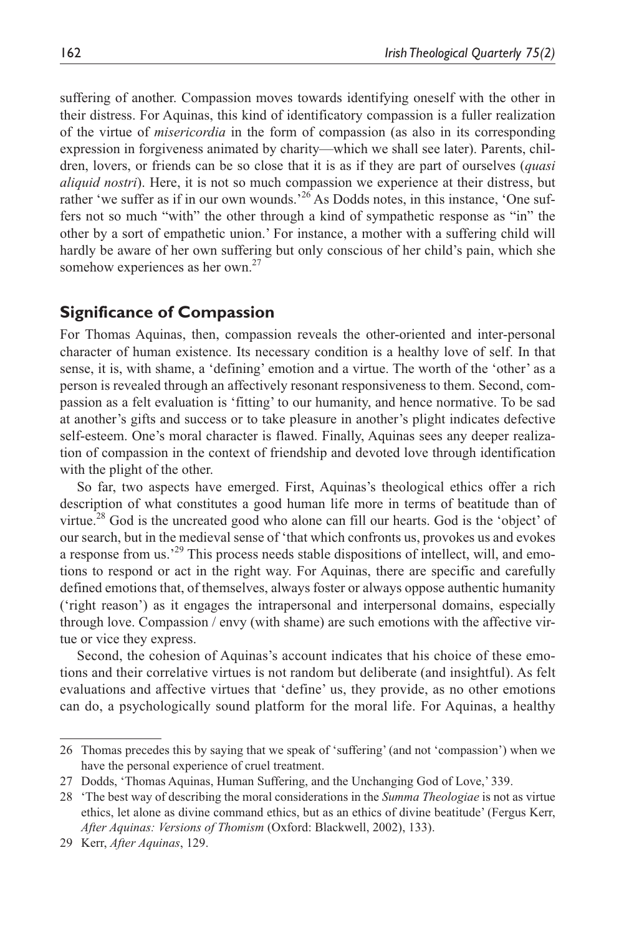suffering of another. Compassion moves towards identifying oneself with the other in their distress. For Aquinas, this kind of identificatory compassion is a fuller realization of the virtue of *misericordia* in the form of compassion (as also in its corresponding expression in forgiveness animated by charity—which we shall see later). Parents, children, lovers, or friends can be so close that it is as if they are part of ourselves (*quasi aliquid nostri*). Here, it is not so much compassion we experience at their distress, but rather 'we suffer as if in our own wounds.<sup>26</sup> As Dodds notes, in this instance, 'One suffers not so much "with" the other through a kind of sympathetic response as "in" the other by a sort of empathetic union.' For instance, a mother with a suffering child will hardly be aware of her own suffering but only conscious of her child's pain, which she somehow experiences as her own.<sup>27</sup>

# **Significance of Compassion**

For Thomas Aquinas, then, compassion reveals the other-oriented and inter-personal character of human existence. Its necessary condition is a healthy love of self. In that sense, it is, with shame, a 'defining' emotion and a virtue. The worth of the 'other' as a person is revealed through an affectively resonant responsiveness to them. Second, compassion as a felt evaluation is 'fitting' to our humanity, and hence normative. To be sad at another's gifts and success or to take pleasure in another's plight indicates defective self-esteem. One's moral character is flawed. Finally, Aquinas sees any deeper realization of compassion in the context of friendship and devoted love through identification with the plight of the other.

So far, two aspects have emerged. First, Aquinas's theological ethics offer a rich description of what constitutes a good human life more in terms of beatitude than of virtue.28 God is the uncreated good who alone can fill our hearts. God is the 'object' of our search, but in the medieval sense of 'that which confronts us, provokes us and evokes a response from us.<sup>29</sup> This process needs stable dispositions of intellect, will, and emotions to respond or act in the right way. For Aquinas, there are specific and carefully defined emotions that, of themselves, always foster or always oppose authentic humanity ('right reason') as it engages the intrapersonal and interpersonal domains, especially through love. Compassion / envy (with shame) are such emotions with the affective virtue or vice they express.

Second, the cohesion of Aquinas's account indicates that his choice of these emotions and their correlative virtues is not random but deliberate (and insightful). As felt evaluations and affective virtues that 'define' us, they provide, as no other emotions can do, a psychologically sound platform for the moral life. For Aquinas, a healthy

<sup>26</sup> Thomas precedes this by saying that we speak of 'suffering' (and not 'compassion') when we have the personal experience of cruel treatment.

<sup>27</sup> Dodds, 'Thomas Aquinas, Human Suffering, and the Unchanging God of Love,' 339.

<sup>28</sup> 'The best way of describing the moral considerations in the *Summa Theologiae* is not as virtue ethics, let alone as divine command ethics, but as an ethics of divine beatitude' (Fergus Kerr, *After Aquinas: Versions of Thomism* (Oxford: Blackwell, 2002), 133).

<sup>29</sup> Kerr, *After Aquinas*, 129.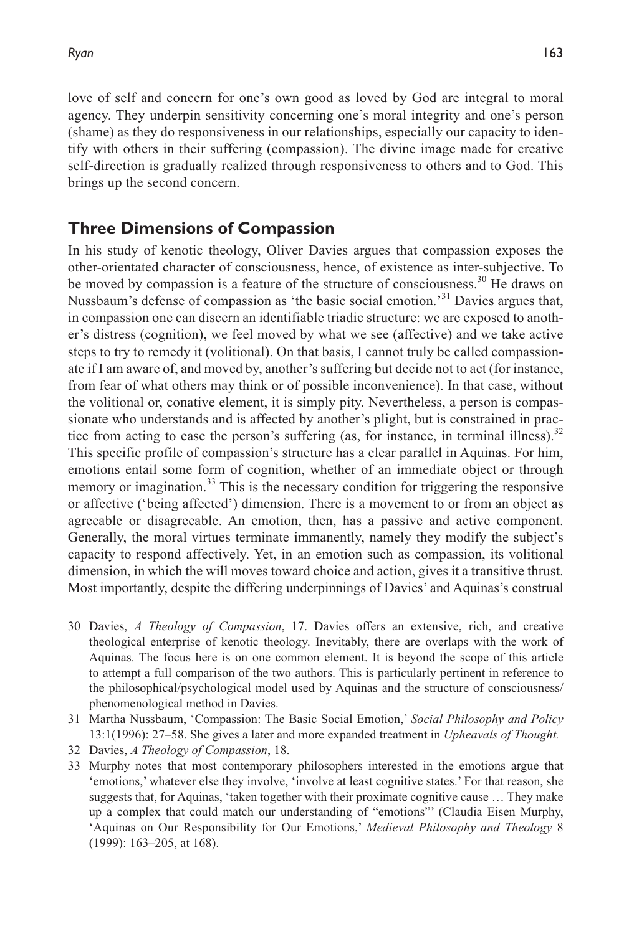love of self and concern for one's own good as loved by God are integral to moral agency. They underpin sensitivity concerning one's moral integrity and one's person (shame) as they do responsiveness in our relationships, especially our capacity to identify with others in their suffering (compassion). The divine image made for creative self-direction is gradually realized through responsiveness to others and to God. This brings up the second concern.

# **Three Dimensions of Compassion**

In his study of kenotic theology, Oliver Davies argues that compassion exposes the other-orientated character of consciousness, hence, of existence as inter-subjective. To be moved by compassion is a feature of the structure of consciousness.<sup>30</sup> He draws on Nussbaum's defense of compassion as 'the basic social emotion.'31 Davies argues that, in compassion one can discern an identifiable triadic structure: we are exposed to another's distress (cognition), we feel moved by what we see (affective) and we take active steps to try to remedy it (volitional). On that basis, I cannot truly be called compassionate if I am aware of, and moved by, another's suffering but decide not to act (for instance, from fear of what others may think or of possible inconvenience). In that case, without the volitional or, conative element, it is simply pity. Nevertheless, a person is compassionate who understands and is affected by another's plight, but is constrained in practice from acting to ease the person's suffering (as, for instance, in terminal illness). $32$ This specific profile of compassion's structure has a clear parallel in Aquinas. For him, emotions entail some form of cognition, whether of an immediate object or through memory or imagination. $33$  This is the necessary condition for triggering the responsive or affective ('being affected') dimension. There is a movement to or from an object as agreeable or disagreeable. An emotion, then, has a passive and active component. Generally, the moral virtues terminate immanently, namely they modify the subject's capacity to respond affectively. Yet, in an emotion such as compassion, its volitional dimension, in which the will moves toward choice and action, gives it a transitive thrust. Most importantly, despite the differing underpinnings of Davies' and Aquinas's construal

<sup>30</sup> Davies, *A Theology of Compassion*, 17. Davies offers an extensive, rich, and creative theological enterprise of kenotic theology. Inevitably, there are overlaps with the work of Aquinas. The focus here is on one common element. It is beyond the scope of this article to attempt a full comparison of the two authors. This is particularly pertinent in reference to the philosophical/psychological model used by Aquinas and the structure of consciousness/ phenomenological method in Davies.

<sup>31</sup> Martha Nussbaum, 'Compassion: The Basic Social Emotion,' *Social Philosophy and Policy* 13:1(1996): 27–58. She gives a later and more expanded treatment in *Upheavals of Thought.*

<sup>32</sup> Davies, *A Theology of Compassion*, 18.

<sup>33</sup> Murphy notes that most contemporary philosophers interested in the emotions argue that 'emotions,' whatever else they involve, 'involve at least cognitive states.' For that reason, she suggests that, for Aquinas, 'taken together with their proximate cognitive cause … They make up a complex that could match our understanding of "emotions"' (Claudia Eisen Murphy, 'Aquinas on Our Responsibility for Our Emotions,' *Medieval Philosophy and Theology* 8 (1999): 163–205, at 168).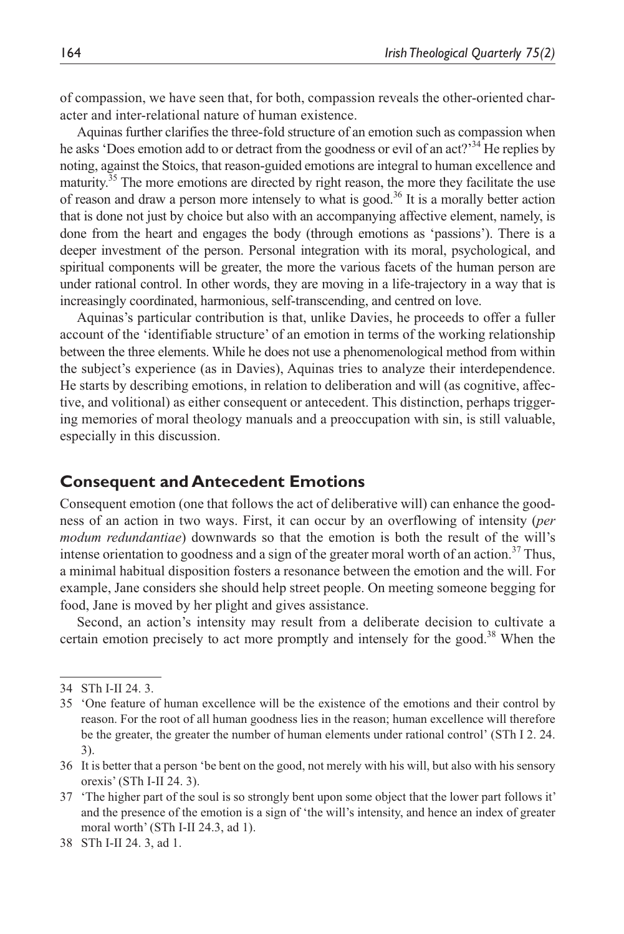of compassion, we have seen that, for both, compassion reveals the other-oriented character and inter-relational nature of human existence.

Aquinas further clarifies the three-fold structure of an emotion such as compassion when he asks 'Does emotion add to or detract from the goodness or evil of an  $act?^{34}$  He replies by noting, against the Stoics, that reason-guided emotions are integral to human excellence and maturity.<sup>35</sup> The more emotions are directed by right reason, the more they facilitate the use of reason and draw a person more intensely to what is good.<sup>36</sup> It is a morally better action that is done not just by choice but also with an accompanying affective element, namely, is done from the heart and engages the body (through emotions as 'passions'). There is a deeper investment of the person. Personal integration with its moral, psychological, and spiritual components will be greater, the more the various facets of the human person are under rational control. In other words, they are moving in a life-trajectory in a way that is increasingly coordinated, harmonious, self-transcending, and centred on love.

Aquinas's particular contribution is that, unlike Davies, he proceeds to offer a fuller account of the 'identifiable structure' of an emotion in terms of the working relationship between the three elements. While he does not use a phenomenological method from within the subject's experience (as in Davies), Aquinas tries to analyze their interdependence. He starts by describing emotions, in relation to deliberation and will (as cognitive, affective, and volitional) as either consequent or antecedent. This distinction, perhaps triggering memories of moral theology manuals and a preoccupation with sin, is still valuable, especially in this discussion.

#### **Consequent and Antecedent Emotions**

Consequent emotion (one that follows the act of deliberative will) can enhance the goodness of an action in two ways. First, it can occur by an overflowing of intensity (*per modum redundantiae*) downwards so that the emotion is both the result of the will's intense orientation to goodness and a sign of the greater moral worth of an action.<sup>37</sup> Thus, a minimal habitual disposition fosters a resonance between the emotion and the will. For example, Jane considers she should help street people. On meeting someone begging for food, Jane is moved by her plight and gives assistance.

Second, an action's intensity may result from a deliberate decision to cultivate a certain emotion precisely to act more promptly and intensely for the good.<sup>38</sup> When the

38 STh I-II 24. 3, ad 1.

<sup>34</sup> STh I-II 24. 3.

<sup>35</sup> 'One feature of human excellence will be the existence of the emotions and their control by reason. For the root of all human goodness lies in the reason; human excellence will therefore be the greater, the greater the number of human elements under rational control' (STh I 2. 24. 3).

<sup>36</sup> It is better that a person 'be bent on the good, not merely with his will, but also with his sensory orexis' (STh I-II 24. 3).

<sup>37</sup> 'The higher part of the soul is so strongly bent upon some object that the lower part follows it' and the presence of the emotion is a sign of 'the will's intensity, and hence an index of greater moral worth' (STh I-II 24.3, ad 1).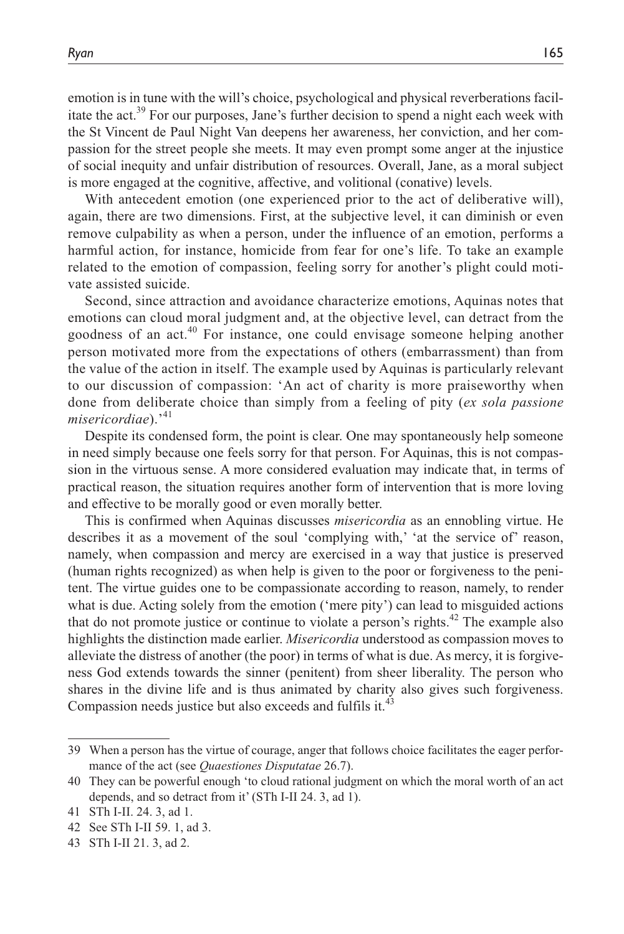emotion is in tune with the will's choice, psychological and physical reverberations facilitate the act.<sup>39</sup> For our purposes, Jane's further decision to spend a night each week with the St Vincent de Paul Night Van deepens her awareness, her conviction, and her compassion for the street people she meets. It may even prompt some anger at the injustice of social inequity and unfair distribution of resources. Overall, Jane, as a moral subject is more engaged at the cognitive, affective, and volitional (conative) levels.

With antecedent emotion (one experienced prior to the act of deliberative will), again, there are two dimensions. First, at the subjective level, it can diminish or even remove culpability as when a person, under the influence of an emotion, performs a harmful action, for instance, homicide from fear for one's life. To take an example related to the emotion of compassion, feeling sorry for another's plight could motivate assisted suicide.

Second, since attraction and avoidance characterize emotions, Aquinas notes that emotions can cloud moral judgment and, at the objective level, can detract from the goodness of an act.<sup>40</sup> For instance, one could envisage someone helping another person motivated more from the expectations of others (embarrassment) than from the value of the action in itself. The example used by Aquinas is particularly relevant to our discussion of compassion: 'An act of charity is more praiseworthy when done from deliberate choice than simply from a feeling of pity (*ex sola passione*  misericordiae).<sup>'41</sup>

Despite its condensed form, the point is clear. One may spontaneously help someone in need simply because one feels sorry for that person. For Aquinas, this is not compassion in the virtuous sense. A more considered evaluation may indicate that, in terms of practical reason, the situation requires another form of intervention that is more loving and effective to be morally good or even morally better.

This is confirmed when Aquinas discusses *misericordia* as an ennobling virtue. He describes it as a movement of the soul 'complying with,' 'at the service of' reason, namely, when compassion and mercy are exercised in a way that justice is preserved (human rights recognized) as when help is given to the poor or forgiveness to the penitent. The virtue guides one to be compassionate according to reason, namely, to render what is due. Acting solely from the emotion ('mere pity') can lead to misguided actions that do not promote justice or continue to violate a person's rights.<sup>42</sup> The example also highlights the distinction made earlier. *Misericordia* understood as compassion moves to alleviate the distress of another (the poor) in terms of what is due. As mercy, it is forgiveness God extends towards the sinner (penitent) from sheer liberality. The person who shares in the divine life and is thus animated by charity also gives such forgiveness. Compassion needs justice but also exceeds and fulfils it.<sup>43</sup>

<sup>39</sup> When a person has the virtue of courage, anger that follows choice facilitates the eager performance of the act (see *Quaestiones Disputatae* 26.7).

<sup>40</sup> They can be powerful enough 'to cloud rational judgment on which the moral worth of an act depends, and so detract from it' (STh I-II 24. 3, ad 1).

<sup>41</sup> STh I-II. 24. 3, ad 1.

<sup>42</sup> See STh I-II 59. 1, ad 3.

<sup>43</sup> STh I-II 21. 3, ad 2.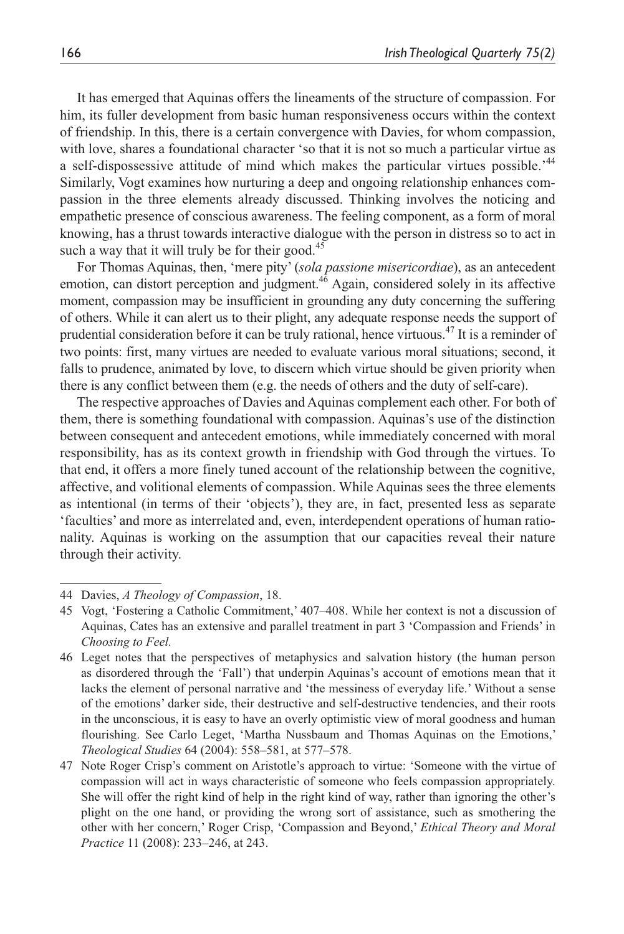It has emerged that Aquinas offers the lineaments of the structure of compassion. For him, its fuller development from basic human responsiveness occurs within the context of friendship. In this, there is a certain convergence with Davies, for whom compassion, with love, shares a foundational character 'so that it is not so much a particular virtue as a self-dispossessive attitude of mind which makes the particular virtues possible.<sup>44</sup> Similarly, Vogt examines how nurturing a deep and ongoing relationship enhances compassion in the three elements already discussed. Thinking involves the noticing and empathetic presence of conscious awareness. The feeling component, as a form of moral knowing, has a thrust towards interactive dialogue with the person in distress so to act in such a way that it will truly be for their good. $45$ 

For Thomas Aquinas, then, 'mere pity' (*sola passione misericordiae*), as an antecedent emotion, can distort perception and judgment. $46$  Again, considered solely in its affective moment, compassion may be insufficient in grounding any duty concerning the suffering of others. While it can alert us to their plight, any adequate response needs the support of prudential consideration before it can be truly rational, hence virtuous.<sup>47</sup> It is a reminder of two points: first, many virtues are needed to evaluate various moral situations; second, it falls to prudence, animated by love, to discern which virtue should be given priority when there is any conflict between them (e.g. the needs of others and the duty of self-care).

The respective approaches of Davies and Aquinas complement each other. For both of them, there is something foundational with compassion. Aquinas's use of the distinction between consequent and antecedent emotions, while immediately concerned with moral responsibility, has as its context growth in friendship with God through the virtues. To that end, it offers a more finely tuned account of the relationship between the cognitive, affective, and volitional elements of compassion. While Aquinas sees the three elements as intentional (in terms of their 'objects'), they are, in fact, presented less as separate 'faculties' and more as interrelated and, even, interdependent operations of human rationality. Aquinas is working on the assumption that our capacities reveal their nature through their activity.

<sup>44</sup> Davies, *A Theology of Compassion*, 18.

<sup>45</sup> Vogt, 'Fostering a Catholic Commitment,' 407–408. While her context is not a discussion of Aquinas, Cates has an extensive and parallel treatment in part 3 'Compassion and Friends' in *Choosing to Feel.*

<sup>46</sup> Leget notes that the perspectives of metaphysics and salvation history (the human person as disordered through the 'Fall') that underpin Aquinas's account of emotions mean that it lacks the element of personal narrative and 'the messiness of everyday life.' Without a sense of the emotions' darker side, their destructive and self-destructive tendencies, and their roots in the unconscious, it is easy to have an overly optimistic view of moral goodness and human flourishing. See Carlo Leget, 'Martha Nussbaum and Thomas Aquinas on the Emotions,' *Theological Studies* 64 (2004): 558–581, at 577–578.

<sup>47</sup> Note Roger Crisp's comment on Aristotle's approach to virtue: 'Someone with the virtue of compassion will act in ways characteristic of someone who feels compassion appropriately. She will offer the right kind of help in the right kind of way, rather than ignoring the other's plight on the one hand, or providing the wrong sort of assistance, such as smothering the other with her concern,' Roger Crisp, 'Compassion and Beyond,' *Ethical Theory and Moral Practice* 11 (2008): 233–246, at 243.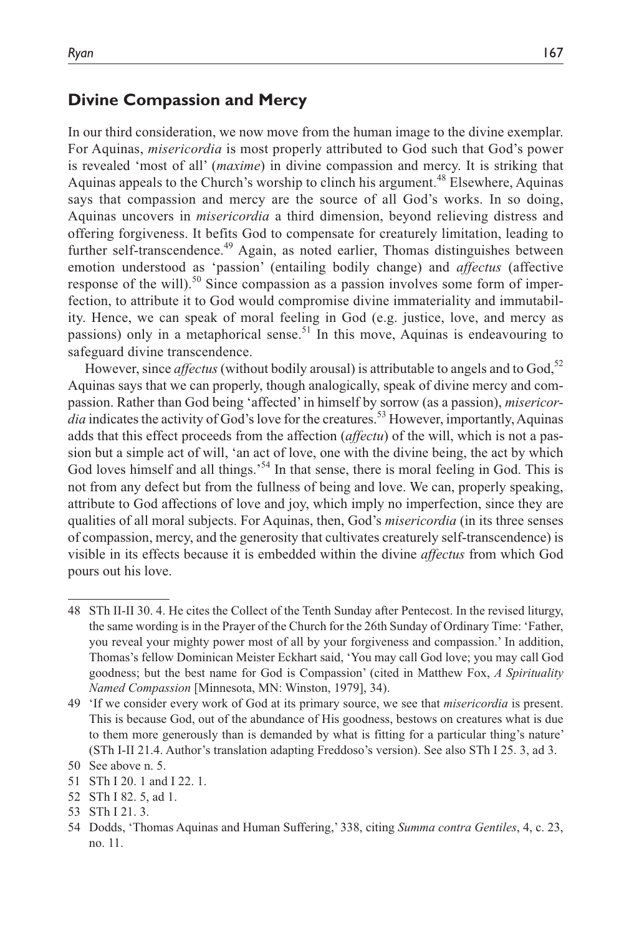## **Divine Compassion and Mercy**

In our third consideration, we now move from the human image to the divine exemplar. For Aquinas, *misericordia* is most properly attributed to God such that God's power is revealed 'most of all' (*maxime*) in divine compassion and mercy. It is striking that Aquinas appeals to the Church's worship to clinch his argument.<sup>48</sup> Elsewhere, Aquinas says that compassion and mercy are the source of all God's works. In so doing, Aquinas uncovers in *misericordia* a third dimension, beyond relieving distress and offering forgiveness. It befits God to compensate for creaturely limitation, leading to further self-transcendence.49 Again, as noted earlier, Thomas distinguishes between emotion understood as 'passion' (entailing bodily change) and *affectus* (affective response of the will).<sup>50</sup> Since compassion as a passion involves some form of imperfection, to attribute it to God would compromise divine immateriality and immutability. Hence, we can speak of moral feeling in God (e.g. justice, love, and mercy as passions) only in a metaphorical sense.<sup>51</sup> In this move, Aquinas is endeavouring to safeguard divine transcendence.

However, since *affectus* (without bodily arousal) is attributable to angels and to God.<sup>52</sup> Aquinas says that we can properly, though analogically, speak of divine mercy and compassion. Rather than God being 'affected' in himself by sorrow (as a passion), *misericordia* indicates the activity of God's love for the creatures.<sup>53</sup> However, importantly, Aquinas adds that this effect proceeds from the affection (*affectu*) of the will, which is not a passion but a simple act of will, 'an act of love, one with the divine being, the act by which God loves himself and all things.<sup>54</sup> In that sense, there is moral feeling in God. This is not from any defect but from the fullness of being and love. We can, properly speaking, attribute to God affections of love and joy, which imply no imperfection, since they are qualities of all moral subjects. For Aquinas, then, God's *misericordia* (in its three senses of compassion, mercy, and the generosity that cultivates creaturely self-transcendence) is visible in its effects because it is embedded within the divine *affectus* from which God pours out his love.

<sup>48</sup> STh II-II 30. 4. He cites the Collect of the Tenth Sunday after Pentecost. In the revised liturgy, the same wording is in the Prayer of the Church for the 26th Sunday of Ordinary Time: 'Father, you reveal your mighty power most of all by your forgiveness and compassion.' In addition, Thomas's fellow Dominican Meister Eckhart said, 'You may call God love; you may call God goodness; but the best name for God is Compassion' (cited in Matthew Fox, *A Spirituality Named Compassion* [Minnesota, MN: Winston, 1979], 34).

<sup>49</sup> 'If we consider every work of God at its primary source, we see that *misericordia* is present. This is because God, out of the abundance of His goodness, bestows on creatures what is due to them more generously than is demanded by what is fitting for a particular thing's nature' (STh I-II 21.4. Author's translation adapting Freddoso's version). See also STh I 25. 3, ad 3.

<sup>50</sup> See above n. 5.

<sup>51</sup> STh I 20. 1 and I 22. 1.

<sup>52</sup> STh I 82. 5, ad 1.

<sup>53</sup> STh I 21. 3.

<sup>54</sup> Dodds, 'Thomas Aquinas and Human Suffering,' 338, citing *Summa contra Gentiles*, 4, c. 23, no. 11.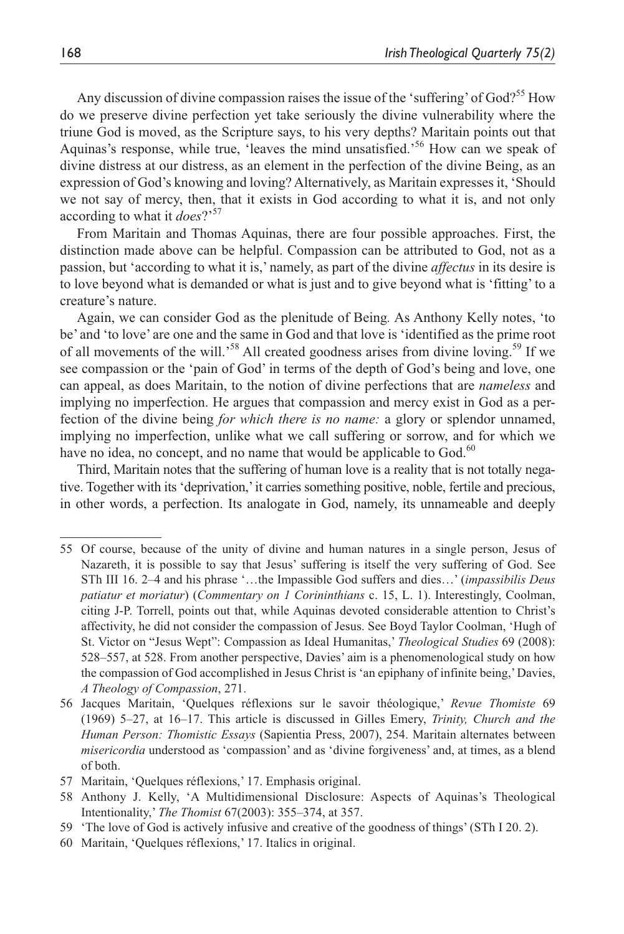Any discussion of divine compassion raises the issue of the 'suffering' of  $God?^{55}$  How do we preserve divine perfection yet take seriously the divine vulnerability where the triune God is moved, as the Scripture says, to his very depths? Maritain points out that Aquinas's response, while true, 'leaves the mind unsatisfied.'<sup>56</sup> How can we speak of divine distress at our distress, as an element in the perfection of the divine Being, as an expression of God's knowing and loving? Alternatively, as Maritain expresses it, 'Should we not say of mercy, then, that it exists in God according to what it is, and not only according to what it *does*?<sup>57</sup>

From Maritain and Thomas Aquinas, there are four possible approaches. First, the distinction made above can be helpful. Compassion can be attributed to God, not as a passion, but 'according to what it is,' namely, as part of the divine *affectus* in its desire is to love beyond what is demanded or what is just and to give beyond what is 'fitting' to a creature's nature.

Again, we can consider God as the plenitude of Being*.* As Anthony Kelly notes, 'to be' and 'to love' are one and the same in God and that love is 'identified as the prime root of all movements of the will.<sup>58</sup> All created goodness arises from divine loving.<sup>59</sup> If we see compassion or the 'pain of God' in terms of the depth of God's being and love, one can appeal, as does Maritain, to the notion of divine perfections that are *nameless* and implying no imperfection. He argues that compassion and mercy exist in God as a perfection of the divine being *for which there is no name:* a glory or splendor unnamed, implying no imperfection, unlike what we call suffering or sorrow, and for which we have no idea, no concept, and no name that would be applicable to God.<sup>60</sup>

Third, Maritain notes that the suffering of human love is a reality that is not totally negative. Together with its 'deprivation,' it carries something positive, noble, fertile and precious, in other words, a perfection. Its analogate in God, namely, its unnameable and deeply

<sup>55</sup> Of course, because of the unity of divine and human natures in a single person, Jesus of Nazareth, it is possible to say that Jesus' suffering is itself the very suffering of God. See STh III 16. 2–4 and his phrase '…the Impassible God suffers and dies…' (*impassibilis Deus patiatur et moriatur*) (*Commentary on 1 Corininthians* c. 15, L. 1). Interestingly, Coolman, citing J-P. Torrell, points out that, while Aquinas devoted considerable attention to Christ's affectivity, he did not consider the compassion of Jesus. See Boyd Taylor Coolman, 'Hugh of St. Victor on "Jesus Wept": Compassion as Ideal Humanitas,' *Theological Studies* 69 (2008): 528–557, at 528. From another perspective, Davies' aim is a phenomenological study on how the compassion of God accomplished in Jesus Christ is 'an epiphany of infinite being,' Davies, *A Theology of Compassion*, 271.

<sup>56</sup> Jacques Maritain, 'Quelques réflexions sur le savoir théologique,' *Revue Thomiste* 69 (1969) 5–27, at 16–17. This article is discussed in Gilles Emery, *Trinity, Church and the Human Person: Thomistic Essays* (Sapientia Press, 2007), 254. Maritain alternates between *misericordia* understood as 'compassion' and as 'divine forgiveness' and, at times, as a blend of both.

<sup>57</sup> Maritain, 'Quelques réflexions,' 17. Emphasis original.

<sup>58</sup> Anthony J. Kelly, 'A Multidimensional Disclosure: Aspects of Aquinas's Theological Intentionality,' *The Thomist* 67(2003): 355–374, at 357.

<sup>59</sup> 'The love of God is actively infusive and creative of the goodness of things' (STh I 20. 2).

<sup>60</sup> Maritain, 'Quelques réflexions,' 17. Italics in original.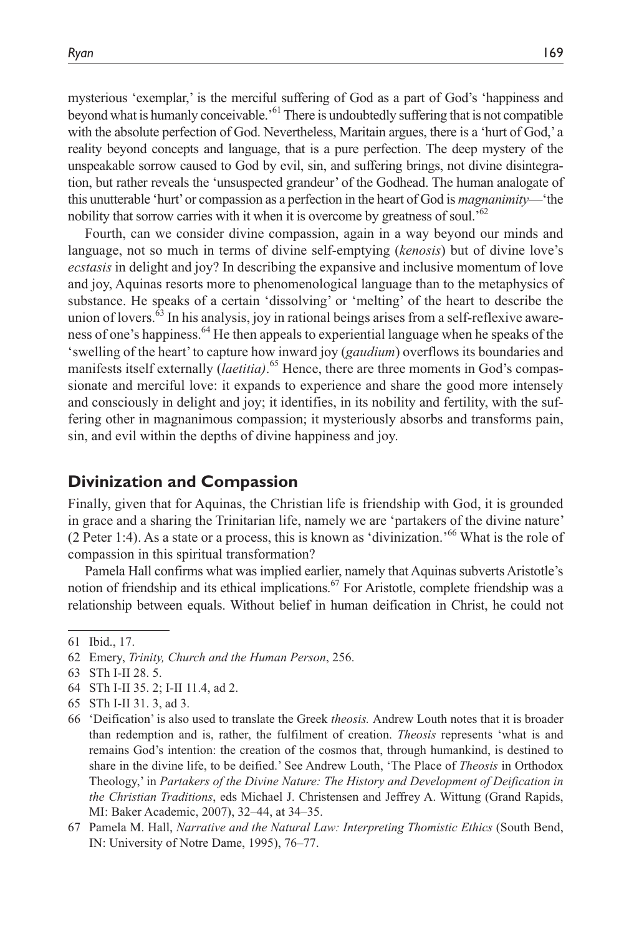mysterious 'exemplar,' is the merciful suffering of God as a part of God's 'happiness and beyond what is humanly conceivable.'61 There is undoubtedly suffering that is not compatible with the absolute perfection of God. Nevertheless, Maritain argues, there is a 'hurt of God,' a reality beyond concepts and language, that is a pure perfection. The deep mystery of the unspeakable sorrow caused to God by evil, sin, and suffering brings, not divine disintegration, but rather reveals the 'unsuspected grandeur' of the Godhead. The human analogate of this unutterable 'hurt' or compassion as a perfection in the heart of God is *magnanimity*—'the nobility that sorrow carries with it when it is overcome by greatness of soul.'62

Fourth, can we consider divine compassion, again in a way beyond our minds and language, not so much in terms of divine self-emptying (*kenosis*) but of divine love's *ecstasis* in delight and joy? In describing the expansive and inclusive momentum of love and joy, Aquinas resorts more to phenomenological language than to the metaphysics of substance. He speaks of a certain 'dissolving' or 'melting' of the heart to describe the union of lovers. $^{63}$  In his analysis, joy in rational beings arises from a self-reflexive awareness of one's happiness.<sup>64</sup> He then appeals to experiential language when he speaks of the 'swelling of the heart' to capture how inward joy (*gaudium*) overflows its boundaries and manifests itself externally (*laetitia)*. 65 Hence, there are three moments in God's compassionate and merciful love: it expands to experience and share the good more intensely and consciously in delight and joy; it identifies, in its nobility and fertility, with the suffering other in magnanimous compassion; it mysteriously absorbs and transforms pain, sin, and evil within the depths of divine happiness and joy.

#### **Divinization and Compassion**

Finally, given that for Aquinas, the Christian life is friendship with God, it is grounded in grace and a sharing the Trinitarian life, namely we are 'partakers of the divine nature' (2 Peter 1:4). As a state or a process, this is known as 'divinization.'66 What is the role of compassion in this spiritual transformation?

Pamela Hall confirms what was implied earlier, namely that Aquinas subverts Aristotle's notion of friendship and its ethical implications.<sup>67</sup> For Aristotle, complete friendship was a relationship between equals. Without belief in human deification in Christ, he could not

64 STh I-II 35. 2; I-II 11.4, ad 2.

- 66 'Deification' is also used to translate the Greek *theosis.* Andrew Louth notes that it is broader than redemption and is, rather, the fulfilment of creation. *Theosis* represents 'what is and remains God's intention: the creation of the cosmos that, through humankind, is destined to share in the divine life, to be deified.' See Andrew Louth, 'The Place of *Theosis* in Orthodox Theology,' in *Partakers of the Divine Nature: The History and Development of Deification in the Christian Traditions*, eds Michael J. Christensen and Jeffrey A. Wittung (Grand Rapids, MI: Baker Academic, 2007), 32–44, at 34–35.
- 67 Pamela M. Hall, *Narrative and the Natural Law: Interpreting Thomistic Ethics* (South Bend, IN: University of Notre Dame, 1995), 76–77.

<sup>61</sup> Ibid., 17.

<sup>62</sup> Emery, *Trinity, Church and the Human Person*, 256.

<sup>63</sup> STh I-II 28. 5.

<sup>65</sup> STh I-II 31. 3, ad 3.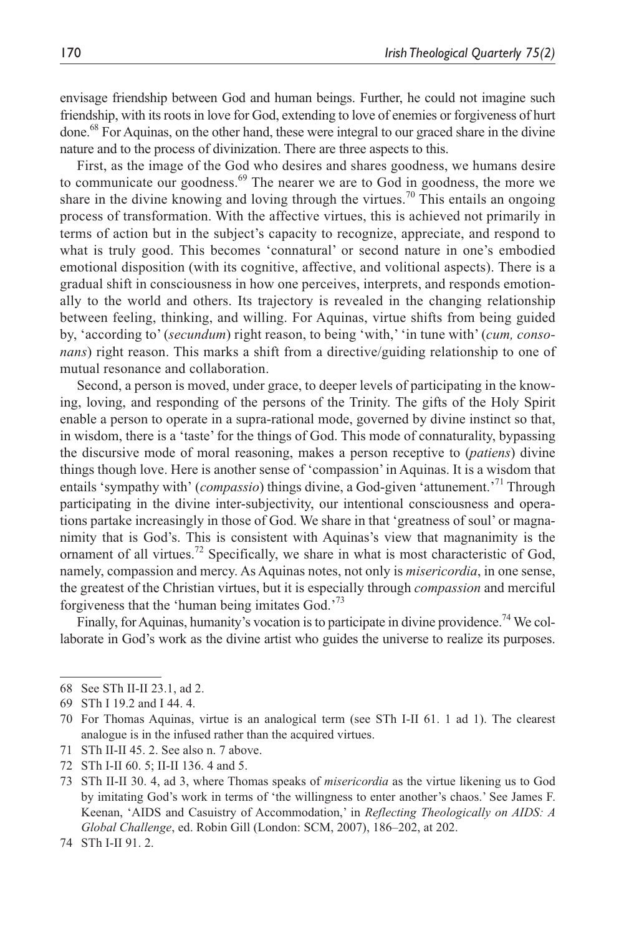envisage friendship between God and human beings. Further, he could not imagine such friendship, with its roots in love for God, extending to love of enemies or forgiveness of hurt done.<sup>68</sup> For Aquinas, on the other hand, these were integral to our graced share in the divine nature and to the process of divinization. There are three aspects to this.

First, as the image of the God who desires and shares goodness, we humans desire to communicate our goodness. $69$  The nearer we are to God in goodness, the more we share in the divine knowing and loving through the virtues.<sup>70</sup> This entails an ongoing process of transformation. With the affective virtues, this is achieved not primarily in terms of action but in the subject's capacity to recognize, appreciate, and respond to what is truly good. This becomes 'connatural' or second nature in one's embodied emotional disposition (with its cognitive, affective, and volitional aspects). There is a gradual shift in consciousness in how one perceives, interprets, and responds emotionally to the world and others. Its trajectory is revealed in the changing relationship between feeling, thinking, and willing. For Aquinas, virtue shifts from being guided by, 'according to' (*secundum*) right reason, to being 'with,' 'in tune with' (*cum, consonans*) right reason. This marks a shift from a directive/guiding relationship to one of mutual resonance and collaboration.

Second, a person is moved, under grace, to deeper levels of participating in the knowing, loving, and responding of the persons of the Trinity. The gifts of the Holy Spirit enable a person to operate in a supra-rational mode, governed by divine instinct so that, in wisdom, there is a 'taste' for the things of God. This mode of connaturality, bypassing the discursive mode of moral reasoning, makes a person receptive to (*patiens*) divine things though love. Here is another sense of 'compassion' in Aquinas. It is a wisdom that entails 'sympathy with' (*compassio*) things divine, a God-given 'attunement.'71 Through participating in the divine inter-subjectivity, our intentional consciousness and operations partake increasingly in those of God. We share in that 'greatness of soul' or magnanimity that is God's. This is consistent with Aquinas's view that magnanimity is the ornament of all virtues.<sup>72</sup> Specifically, we share in what is most characteristic of God, namely, compassion and mercy. As Aquinas notes, not only is *misericordia*, in one sense, the greatest of the Christian virtues, but it is especially through *compassion* and merciful forgiveness that the 'human being imitates God.'73

Finally, for Aquinas, humanity's vocation is to participate in divine providence.<sup>74</sup> We collaborate in God's work as the divine artist who guides the universe to realize its purposes.

72 STh I-II 60. 5; II-II 136. 4 and 5.

<sup>68</sup> See STh II-II 23.1, ad 2.

<sup>69</sup> STh I 19.2 and I 44. 4.

<sup>70</sup> For Thomas Aquinas, virtue is an analogical term (see STh I-II 61. 1 ad 1). The clearest analogue is in the infused rather than the acquired virtues.

<sup>71</sup> STh II-II 45. 2. See also n. 7 above.

<sup>73</sup> STh II-II 30. 4, ad 3, where Thomas speaks of *misericordia* as the virtue likening us to God by imitating God's work in terms of 'the willingness to enter another's chaos.' See James F. Keenan, 'AIDS and Casuistry of Accommodation,' in *Reflecting Theologically on AIDS: A Global Challenge*, ed. Robin Gill (London: SCM, 2007), 186–202, at 202.

<sup>74</sup> STh I-II 91. 2.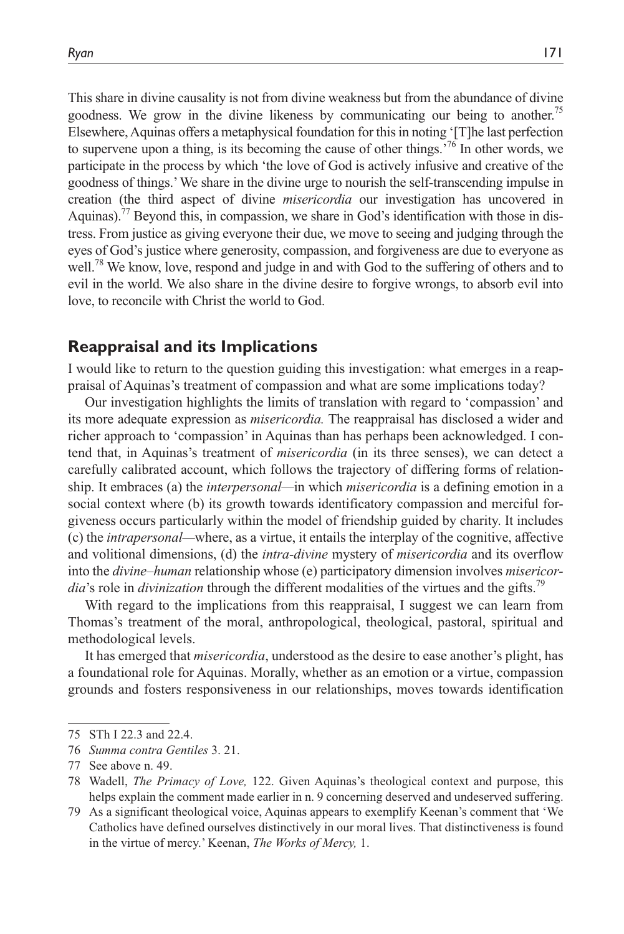This share in divine causality is not from divine weakness but from the abundance of divine goodness. We grow in the divine likeness by communicating our being to another.<sup>75</sup> Elsewhere, Aquinas offers a metaphysical foundation for this in noting '[T]he last perfection to supervene upon a thing, is its becoming the cause of other things.'76 In other words, we participate in the process by which 'the love of God is actively infusive and creative of the goodness of things.' We share in the divine urge to nourish the self-transcending impulse in creation (the third aspect of divine *misericordia* our investigation has uncovered in Aquinas).<sup>77</sup> Beyond this, in compassion, we share in God's identification with those in distress. From justice as giving everyone their due, we move to seeing and judging through the eyes of God's justice where generosity, compassion, and forgiveness are due to everyone as well.<sup>78</sup> We know, love, respond and judge in and with God to the suffering of others and to evil in the world. We also share in the divine desire to forgive wrongs, to absorb evil into love, to reconcile with Christ the world to God.

#### **Reappraisal and its Implications**

I would like to return to the question guiding this investigation: what emerges in a reappraisal of Aquinas's treatment of compassion and what are some implications today?

Our investigation highlights the limits of translation with regard to 'compassion' and its more adequate expression as *misericordia.* The reappraisal has disclosed a wider and richer approach to 'compassion' in Aquinas than has perhaps been acknowledged. I contend that, in Aquinas's treatment of *misericordia* (in its three senses), we can detect a carefully calibrated account, which follows the trajectory of differing forms of relationship. It embraces (a) the *interpersonal—*in which *misericordia* is a defining emotion in a social context where (b) its growth towards identificatory compassion and merciful forgiveness occurs particularly within the model of friendship guided by charity. It includes (c) the *intrapersonal—*where, as a virtue, it entails the interplay of the cognitive, affective and volitional dimensions, (d) the *intra-divine* mystery of *misericordia* and its overflow into the *divine–human* relationship whose (e) participatory dimension involves *misericordia*'s role in *divinization* through the different modalities of the virtues and the gifts.<sup>79</sup>

With regard to the implications from this reappraisal, I suggest we can learn from Thomas's treatment of the moral, anthropological, theological, pastoral, spiritual and methodological levels.

It has emerged that *misericordia*, understood as the desire to ease another's plight, has a foundational role for Aquinas. Morally, whether as an emotion or a virtue, compassion grounds and fosters responsiveness in our relationships, moves towards identification

<sup>75</sup> STh I 22.3 and 22.4.

<sup>76</sup> *Summa contra Gentiles* 3. 21.

<sup>77</sup> See above n. 49.

<sup>78</sup> Wadell, *The Primacy of Love,* 122. Given Aquinas's theological context and purpose, this helps explain the comment made earlier in n. 9 concerning deserved and undeserved suffering.

<sup>79</sup> As a significant theological voice, Aquinas appears to exemplify Keenan's comment that 'We Catholics have defined ourselves distinctively in our moral lives. That distinctiveness is found in the virtue of mercy.' Keenan, *The Works of Mercy,* 1.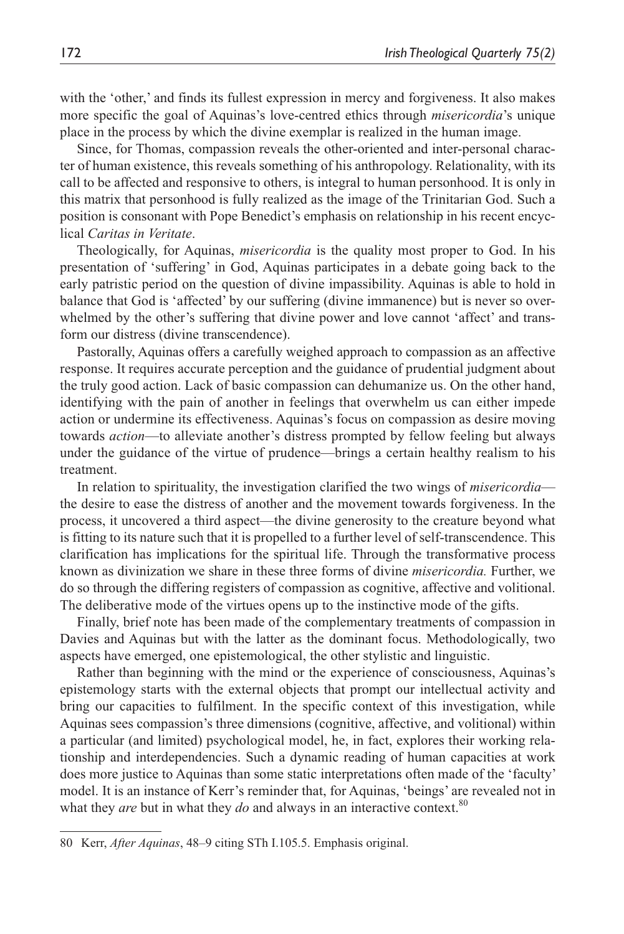with the 'other,' and finds its fullest expression in mercy and forgiveness. It also makes more specific the goal of Aquinas's love-centred ethics through *misericordia*'s unique place in the process by which the divine exemplar is realized in the human image.

Since, for Thomas, compassion reveals the other-oriented and inter-personal character of human existence, this reveals something of his anthropology. Relationality, with its call to be affected and responsive to others, is integral to human personhood. It is only in this matrix that personhood is fully realized as the image of the Trinitarian God. Such a position is consonant with Pope Benedict's emphasis on relationship in his recent encyclical *Caritas in Veritate*.

Theologically, for Aquinas, *misericordia* is the quality most proper to God. In his presentation of 'suffering' in God, Aquinas participates in a debate going back to the early patristic period on the question of divine impassibility. Aquinas is able to hold in balance that God is 'affected' by our suffering (divine immanence) but is never so overwhelmed by the other's suffering that divine power and love cannot 'affect' and transform our distress (divine transcendence).

Pastorally, Aquinas offers a carefully weighed approach to compassion as an affective response. It requires accurate perception and the guidance of prudential judgment about the truly good action. Lack of basic compassion can dehumanize us. On the other hand, identifying with the pain of another in feelings that overwhelm us can either impede action or undermine its effectiveness. Aquinas's focus on compassion as desire moving towards *action*—to alleviate another's distress prompted by fellow feeling but always under the guidance of the virtue of prudence—brings a certain healthy realism to his treatment.

In relation to spirituality, the investigation clarified the two wings of *misericordia* the desire to ease the distress of another and the movement towards forgiveness. In the process, it uncovered a third aspect—the divine generosity to the creature beyond what is fitting to its nature such that it is propelled to a further level of self-transcendence. This clarification has implications for the spiritual life. Through the transformative process known as divinization we share in these three forms of divine *misericordia.* Further, we do so through the differing registers of compassion as cognitive, affective and volitional. The deliberative mode of the virtues opens up to the instinctive mode of the gifts.

Finally, brief note has been made of the complementary treatments of compassion in Davies and Aquinas but with the latter as the dominant focus. Methodologically, two aspects have emerged, one epistemological, the other stylistic and linguistic.

Rather than beginning with the mind or the experience of consciousness, Aquinas's epistemology starts with the external objects that prompt our intellectual activity and bring our capacities to fulfilment. In the specific context of this investigation, while Aquinas sees compassion's three dimensions (cognitive, affective, and volitional) within a particular (and limited) psychological model, he, in fact, explores their working relationship and interdependencies. Such a dynamic reading of human capacities at work does more justice to Aquinas than some static interpretations often made of the 'faculty' model. It is an instance of Kerr's reminder that, for Aquinas, 'beings' are revealed not in what they *are* but in what they *do* and always in an interactive context.<sup>80</sup>

<sup>80</sup> Kerr, *After Aquinas*, 48–9 citing STh I.105.5. Emphasis original.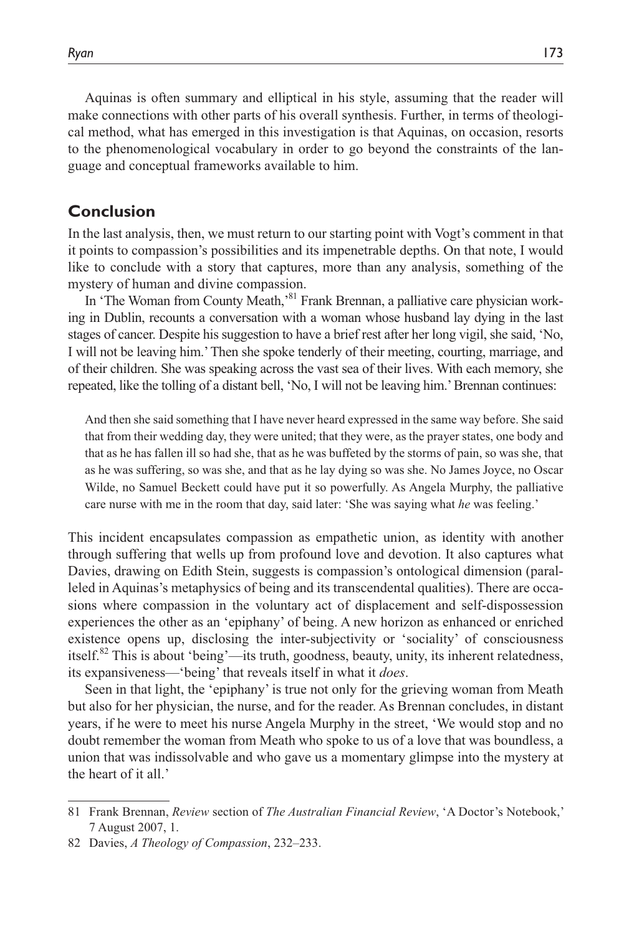Aquinas is often summary and elliptical in his style, assuming that the reader will make connections with other parts of his overall synthesis. Further, in terms of theological method, what has emerged in this investigation is that Aquinas, on occasion, resorts to the phenomenological vocabulary in order to go beyond the constraints of the language and conceptual frameworks available to him.

### **Conclusion**

In the last analysis, then, we must return to our starting point with Vogt's comment in that it points to compassion's possibilities and its impenetrable depths. On that note, I would like to conclude with a story that captures, more than any analysis, something of the mystery of human and divine compassion.

In 'The Woman from County Meath, <sup>81</sup> Frank Brennan, a palliative care physician working in Dublin, recounts a conversation with a woman whose husband lay dying in the last stages of cancer. Despite his suggestion to have a brief rest after her long vigil, she said, 'No, I will not be leaving him.' Then she spoke tenderly of their meeting, courting, marriage, and of their children. She was speaking across the vast sea of their lives. With each memory, she repeated, like the tolling of a distant bell, 'No, I will not be leaving him.' Brennan continues:

And then she said something that I have never heard expressed in the same way before. She said that from their wedding day, they were united; that they were, as the prayer states, one body and that as he has fallen ill so had she, that as he was buffeted by the storms of pain, so was she, that as he was suffering, so was she, and that as he lay dying so was she. No James Joyce, no Oscar Wilde, no Samuel Beckett could have put it so powerfully. As Angela Murphy, the palliative care nurse with me in the room that day, said later: 'She was saying what *he* was feeling.'

This incident encapsulates compassion as empathetic union, as identity with another through suffering that wells up from profound love and devotion. It also captures what Davies, drawing on Edith Stein, suggests is compassion's ontological dimension (paralleled in Aquinas's metaphysics of being and its transcendental qualities). There are occasions where compassion in the voluntary act of displacement and self-dispossession experiences the other as an 'epiphany' of being. A new horizon as enhanced or enriched existence opens up, disclosing the inter-subjectivity or 'sociality' of consciousness itself.<sup>82</sup> This is about 'being'—its truth, goodness, beauty, unity, its inherent relatedness, its expansiveness—'being' that reveals itself in what it *does*.

Seen in that light, the 'epiphany' is true not only for the grieving woman from Meath but also for her physician, the nurse, and for the reader. As Brennan concludes, in distant years, if he were to meet his nurse Angela Murphy in the street, 'We would stop and no doubt remember the woman from Meath who spoke to us of a love that was boundless, a union that was indissolvable and who gave us a momentary glimpse into the mystery at the heart of it all.'

<sup>81</sup> Frank Brennan, *Review* section of *The Australian Financial Review*, 'A Doctor's Notebook,' 7 August 2007, 1.

<sup>82</sup> Davies, *A Theology of Compassion*, 232–233.